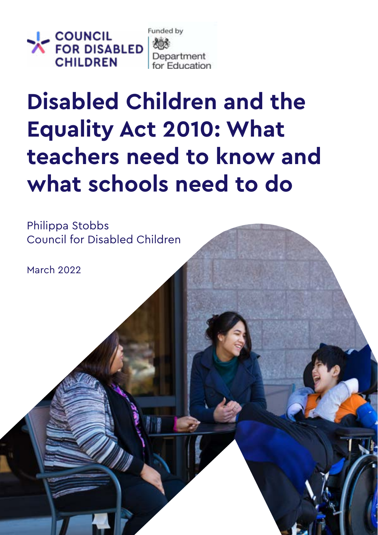

Funded by Department for Education

# **Disabled Children and the Equality Act 2010: What teachers need to know and what schools need to do**

Philippa Stobbs Council for Disabled Children

**UNITED FOR DISABLED CHILDREN**

March 2022

1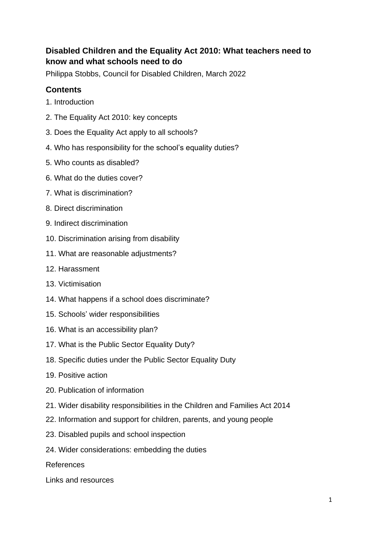# **Disabled Children and the Equality Act 2010: What teachers need to know and what schools need to do**

Philippa Stobbs, Council for Disabled Children, March 2022

## **Contents**

- 1. Introduction
- 2. The Equality Act 2010: key concepts
- 3. Does the Equality Act apply to all schools?
- 4. Who has responsibility for the school's equality duties?
- 5. Who counts as disabled?
- 6. What do the duties cover?
- 7. What is discrimination?
- 8. Direct discrimination
- 9. Indirect discrimination
- 10. Discrimination arising from disability
- 11. What are reasonable adjustments?
- 12. Harassment
- 13. Victimisation
- 14. What happens if a school does discriminate?
- 15. Schools' wider responsibilities
- 16. What is an accessibility plan?
- 17. What is the Public Sector Equality Duty?
- 18. Specific duties under the Public Sector Equality Duty
- 19. Positive action
- 20. Publication of information
- 21. Wider disability responsibilities in the Children and Families Act 2014
- 22. Information and support for children, parents, and young people
- 23. Disabled pupils and school inspection
- 24. Wider considerations: embedding the duties

References

Links and resources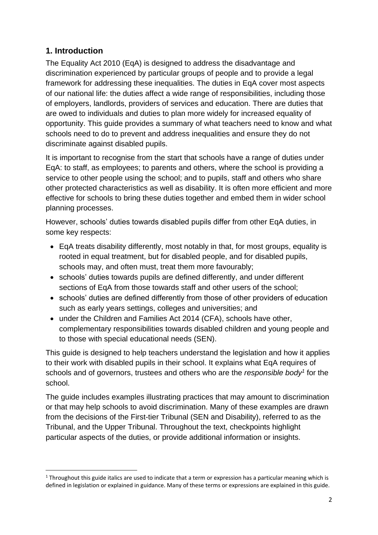# **1. Introduction**

The Equality Act 2010 (EqA) is designed to address the disadvantage and discrimination experienced by particular groups of people and to provide a legal framework for addressing these inequalities. The duties in EqA cover most aspects of our national life: the duties affect a wide range of responsibilities, including those of employers, landlords, providers of services and education. There are duties that are owed to individuals and duties to plan more widely for increased equality of opportunity. This guide provides a summary of what teachers need to know and what schools need to do to prevent and address inequalities and ensure they do not discriminate against disabled pupils.

It is important to recognise from the start that schools have a range of duties under EqA: to staff, as employees; to parents and others, where the school is providing a service to other people using the school; and to pupils, staff and others who share other protected characteristics as well as disability. It is often more efficient and more effective for schools to bring these duties together and embed them in wider school planning processes.

However, schools' duties towards disabled pupils differ from other EqA duties, in some key respects:

- EqA treats disability differently, most notably in that, for most groups, equality is rooted in equal treatment, but for disabled people, and for disabled pupils, schools may, and often must, treat them more favourably;
- schools' duties towards pupils are defined differently, and under different sections of EqA from those towards staff and other users of the school;
- schools' duties are defined differently from those of other providers of education such as early years settings, colleges and universities; and
- under the Children and Families Act 2014 (CFA), schools have other, complementary responsibilities towards disabled children and young people and to those with special educational needs (SEN).

This guide is designed to help teachers understand the legislation and how it applies to their work with disabled pupils in their school. It explains what EqA requires of schools and of governors, trustees and others who are the *responsible body<sup>1</sup>* for the school.

The guide includes examples illustrating practices that may amount to discrimination or that may help schools to avoid discrimination. Many of these examples are drawn from the decisions of the First-tier Tribunal (SEN and Disability), referred to as the Tribunal, and the Upper Tribunal. Throughout the text, checkpoints highlight particular aspects of the duties, or provide additional information or insights.

**<sup>.</sup>**  $1$  Throughout this guide italics are used to indicate that a term or expression has a particular meaning which is defined in legislation or explained in guidance. Many of these terms or expressions are explained in this guide.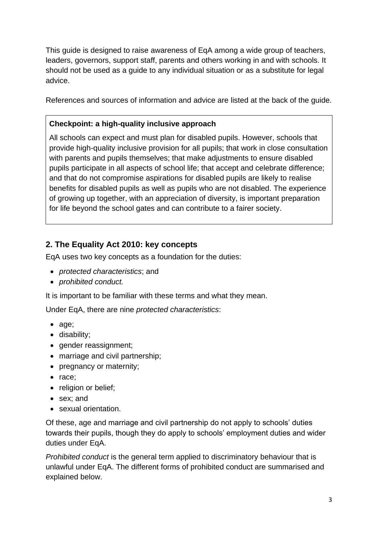This guide is designed to raise awareness of EqA among a wide group of teachers, leaders, governors, support staff, parents and others working in and with schools. It should not be used as a guide to any individual situation or as a substitute for legal advice.

References and sources of information and advice are listed at the back of the guide.

## **Checkpoint: a high-quality inclusive approach**

All schools can expect and must plan for disabled pupils. However, schools that provide high-quality inclusive provision for all pupils; that work in close consultation with parents and pupils themselves; that make adjustments to ensure disabled pupils participate in all aspects of school life; that accept and celebrate difference; and that do not compromise aspirations for disabled pupils are likely to realise benefits for disabled pupils as well as pupils who are not disabled. The experience of growing up together, with an appreciation of diversity, is important preparation for life beyond the school gates and can contribute to a fairer society.

# **2. The Equality Act 2010: key concepts**

EqA uses two key concepts as a foundation for the duties:

- *protected characteristics*; and
- *prohibited conduct.*

It is important to be familiar with these terms and what they mean.

Under EqA, there are nine *protected characteristics*:

- age;
- disability;
- gender reassignment:
- marriage and civil partnership;
- pregnancy or maternity;
- race;
- religion or belief:
- sex; and
- sexual orientation.

Of these, age and marriage and civil partnership do not apply to schools' duties towards their pupils, though they do apply to schools' employment duties and wider duties under EqA.

*Prohibited conduct* is the general term applied to discriminatory behaviour that is unlawful under EqA. The different forms of prohibited conduct are summarised and explained below.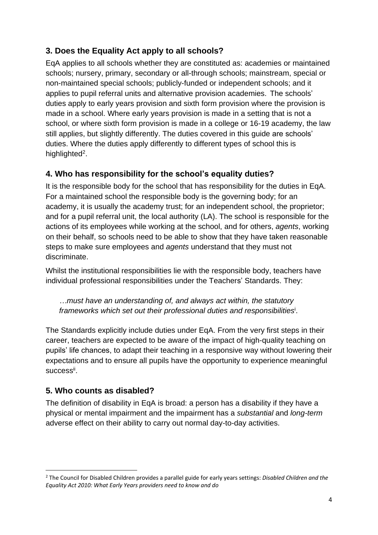# **3. Does the Equality Act apply to all schools?**

EqA applies to all schools whether they are constituted as: academies or maintained schools; nursery, primary, secondary or all-through schools; mainstream, special or non-maintained special schools; publicly-funded or independent schools; and it applies to pupil referral units and alternative provision academies. The schools' duties apply to early years provision and sixth form provision where the provision is made in a school. Where early years provision is made in a setting that is not a school, or where sixth form provision is made in a college or 16-19 academy, the law still applies, but slightly differently. The duties covered in this guide are schools' duties. Where the duties apply differently to different types of school this is highlighted<sup>2</sup>.

# **4. Who has responsibility for the school's equality duties?**

It is the responsible body for the school that has responsibility for the duties in EqA. For a maintained school the responsible body is the governing body; for an academy, it is usually the academy trust; for an independent school, the proprietor; and for a pupil referral unit, the local authority (LA). The school is responsible for the actions of its employees while working at the school, and for others, *agents*, working on their behalf, so schools need to be able to show that they have taken reasonable steps to make sure employees and *agents* understand that they must not discriminate.

Whilst the institutional responsibilities lie with the responsible body, teachers have individual professional responsibilities under the Teachers' Standards. They:

*…must have an understanding of, and always act within, the statutory frameworks which set out their professional duties and responsibilities*<sup>i</sup> .

The Standards explicitly include duties under EqA. From the very first steps in their career, teachers are expected to be aware of the impact of high-quality teaching on pupils' life chances, to adapt their teaching in a responsive way without lowering their expectations and to ensure all pupils have the opportunity to experience meaningful success<sup>ii</sup>.

# **5. Who counts as disabled?**

The definition of disability in EqA is broad: a person has a disability if they have a physical or mental impairment and the impairment has a *substantial* and *long-term* adverse effect on their ability to carry out normal day-to-day activities.

**<sup>.</sup>** <sup>2</sup> The Council for Disabled Children provides a parallel guide for early years settings: *Disabled Children and the Equality Act 2010: What Early Years providers need to know and do*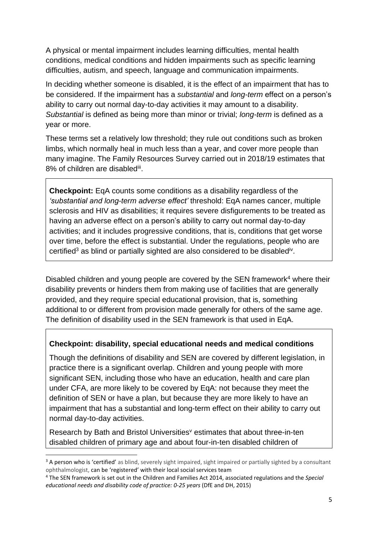A physical or mental impairment includes learning difficulties, mental health conditions, medical conditions and hidden impairments such as specific learning difficulties, autism, and speech, language and communication impairments.

In deciding whether someone is disabled, it is the effect of an impairment that has to be considered. If the impairment has a *substantial* and *long-term* effect on a person's ability to carry out normal day-to-day activities it may amount to a disability. *Substantial* is defined as being more than minor or trivial; *long-term* is defined as a year or more.

These terms set a relatively low threshold; they rule out conditions such as broken limbs, which normally heal in much less than a year, and cover more people than many imagine. The Family Resources Survey carried out in 2018/19 estimates that 8% of children are disabledii.

**Checkpoint:** EqA counts some conditions as a disability regardless of the *'substantial and long-term adverse effect'* threshold: EqA names cancer, multiple sclerosis and HIV as disabilities; it requires severe disfigurements to be treated as having an adverse effect on a person's ability to carry out normal day-to-day activities; and it includes progressive conditions, that is, conditions that get worse over time, before the effect is substantial. Under the regulations, people who are certified<sup>3</sup> as blind or partially sighted are also considered to be disabled<sup>iv</sup>.

Disabled children and young people are covered by the SEN framework<sup>4</sup> where their disability prevents or hinders them from making use of facilities that are generally provided, and they require special educational provision, that is, something additional to or different from provision made generally for others of the same age. The definition of disability used in the SEN framework is that used in EqA.

## **Checkpoint: disability, special educational needs and medical conditions**

Though the definitions of disability and SEN are covered by different legislation, in practice there is a significant overlap. Children and young people with more significant SEN, including those who have an education, health and care plan under CFA, are more likely to be covered by EqA: not because they meet the definition of SEN or have a plan, but because they are more likely to have an impairment that has a substantial and long-term effect on their ability to carry out normal day-to-day activities.

Research by Bath and Bristol Universities<sup>v</sup> estimates that about three-in-ten disabled children of primary age and about four-in-ten disabled children of

**.** 

<sup>&</sup>lt;sup>3</sup> A person who is 'certified' as blind, severely sight impaired, sight impaired or partially sighted by a consultant ophthalmologist, can be 'registered' with their local social services team

<sup>4</sup> The SEN framework is set out in the Children and Families Act 2014, associated regulations and the *Special educational needs and disability code of practice: 0-25 years* (DfE and DH, 2015)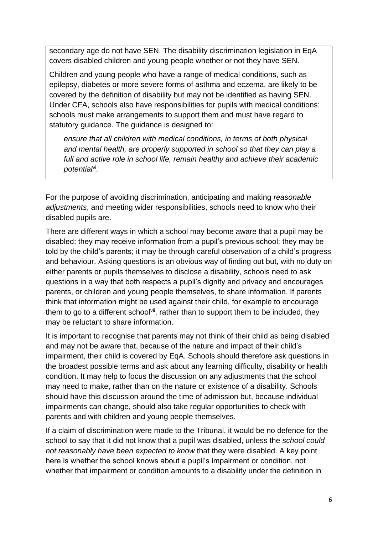secondary age do not have SEN. The disability discrimination legislation in EqA covers disabled children and young people whether or not they have SEN.

Children and young people who have a range of medical conditions, such as epilepsy, diabetes or more severe forms of asthma and eczema, are likely to be covered by the definition of disability but may not be identified as having SEN. Under CFA, schools also have responsibilities for pupils with medical conditions: schools must make arrangements to support them and must have regard to statutory guidance. The guidance is designed to:

*ensure that all children with medical conditions, in terms of both physical and mental health, are properly supported in school so that they can play a*  full and active role in school life, remain healthy and achieve their academic *potential*vi *.*

For the purpose of avoiding discrimination, anticipating and making *reasonable adjustments*, and meeting wider responsibilities, schools need to know who their disabled pupils are.

There are different ways in which a school may become aware that a pupil may be disabled: they may receive information from a pupil's previous school; they may be told by the child's parents; it may be through careful observation of a child's progress and behaviour. Asking questions is an obvious way of finding out but, with no duty on either parents or pupils themselves to disclose a disability, schools need to ask questions in a way that both respects a pupil's dignity and privacy and encourages parents, or children and young people themselves, to share information. If parents think that information might be used against their child, for example to encourage them to go to a different school<sup>vii</sup>, rather than to support them to be included, they may be reluctant to share information.

It is important to recognise that parents may not think of their child as being disabled and may not be aware that, because of the nature and impact of their child's impairment, their child is covered by EqA. Schools should therefore ask questions in the broadest possible terms and ask about any learning difficulty, disability or health condition. It may help to focus the discussion on any adjustments that the school may need to make, rather than on the nature or existence of a disability. Schools should have this discussion around the time of admission but, because individual impairments can change, should also take regular opportunities to check with parents and with children and young people themselves.

If a claim of discrimination were made to the Tribunal, it would be no defence for the school to say that it did not know that a pupil was disabled, unless the *school could not reasonably have been expected to know* that they were disabled. A key point here is whether the school knows about a pupil's impairment or condition, not whether that impairment or condition amounts to a disability under the definition in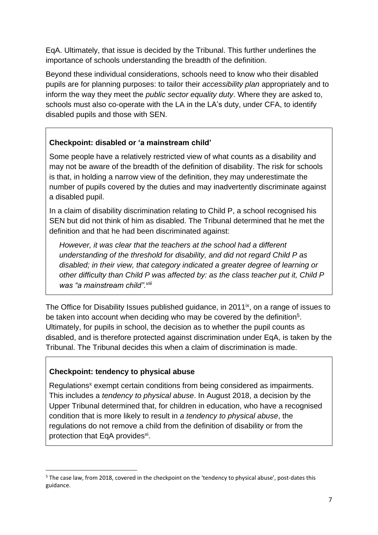EqA. Ultimately, that issue is decided by the Tribunal. This further underlines the importance of schools understanding the breadth of the definition.

Beyond these individual considerations, schools need to know who their disabled pupils are for planning purposes: to tailor their *accessibility plan* appropriately and to inform the way they meet the *public sector equality duty*. Where they are asked to, schools must also co-operate with the LA in the LA's duty, under CFA, to identify disabled pupils and those with SEN.

#### **Checkpoint: disabled or 'a mainstream child'**

Some people have a relatively restricted view of what counts as a disability and may not be aware of the breadth of the definition of disability. The risk for schools is that, in holding a narrow view of the definition, they may underestimate the number of pupils covered by the duties and may inadvertently discriminate against a disabled pupil.

In a claim of disability discrimination relating to Child P, a school recognised his SEN but did not think of him as disabled. The Tribunal determined that he met the definition and that he had been discriminated against:

*However, it was clear that the teachers at the school had a different understanding of the threshold for disability, and did not regard Child P as disabled; in their view, that category indicated a greater degree of learning or other difficulty than Child P was affected by: as the class teacher put it, Child P was "a mainstream child".viii*

The Office for Disability Issues published guidance, in 2011<sup>ix</sup>, on a range of issues to be taken into account when deciding who may be covered by the definition<sup>5</sup>. Ultimately, for pupils in school, the decision as to whether the pupil counts as disabled, and is therefore protected against discrimination under EqA, is taken by the Tribunal. The Tribunal decides this when a claim of discrimination is made.

## **Checkpoint: tendency to physical abuse**

**.** 

Regulations<sup>x</sup> exempt certain conditions from being considered as impairments. This includes a *tendency to physical abuse*. In August 2018, a decision by the Upper Tribunal determined that, for children in education, who have a recognised condition that is more likely to result in *a tendency to physical abuse*, the regulations do not remove a child from the definition of disability or from the protection that EqA provides<sup>xi</sup>.

<sup>5</sup> The case law, from 2018, covered in the checkpoint on the 'tendency to physical abuse', post-dates this guidance.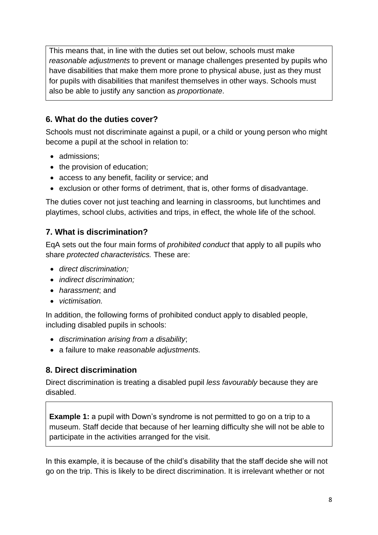This means that, in line with the duties set out below, schools must make *reasonable adjustments* to prevent or manage challenges presented by pupils who have disabilities that make them more prone to physical abuse, just as they must for pupils with disabilities that manifest themselves in other ways. Schools must also be able to justify any sanction as *proportionate*.

# **6. What do the duties cover?**

Schools must not discriminate against a pupil, or a child or young person who might become a pupil at the school in relation to:

- admissions;
- the provision of education;
- access to any benefit, facility or service; and
- exclusion or other forms of detriment, that is, other forms of disadvantage.

The duties cover not just teaching and learning in classrooms, but lunchtimes and playtimes, school clubs, activities and trips, in effect, the whole life of the school.

## **7. What is discrimination?**

EqA sets out the four main forms of *prohibited conduct* that apply to all pupils who share *protected characteristics.* These are:

- *direct discrimination;*
- *indirect discrimination;*
- *harassment*; and
- *victimisation.*

In addition, the following forms of prohibited conduct apply to disabled people, including disabled pupils in schools:

- *discrimination arising from a disability*;
- a failure to make *reasonable adjustments.*

# **8. Direct discrimination**

Direct discrimination is treating a disabled pupil *less favourably* because they are disabled.

**Example 1:** a pupil with Down's syndrome is not permitted to go on a trip to a museum. Staff decide that because of her learning difficulty she will not be able to participate in the activities arranged for the visit.

In this example, it is because of the child's disability that the staff decide she will not go on the trip. This is likely to be direct discrimination. It is irrelevant whether or not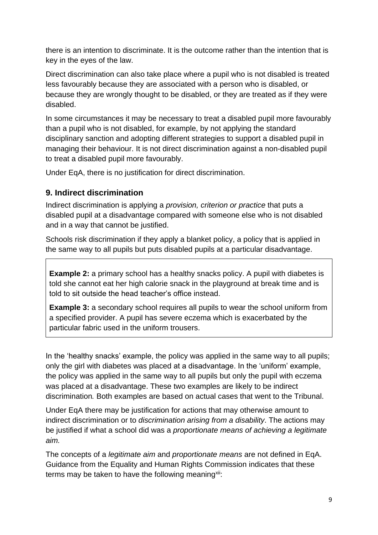there is an intention to discriminate. It is the outcome rather than the intention that is key in the eyes of the law.

Direct discrimination can also take place where a pupil who is not disabled is treated less favourably because they are associated with a person who is disabled, or because they are wrongly thought to be disabled, or they are treated as if they were disabled.

In some circumstances it may be necessary to treat a disabled pupil more favourably than a pupil who is not disabled, for example, by not applying the standard disciplinary sanction and adopting different strategies to support a disabled pupil in managing their behaviour. It is not direct discrimination against a non-disabled pupil to treat a disabled pupil more favourably.

Under EqA, there is no justification for direct discrimination.

## **9. Indirect discrimination**

Indirect discrimination is applying a *provision, criterion or practice* that puts a disabled pupil at a disadvantage compared with someone else who is not disabled and in a way that cannot be justified.

Schools risk discrimination if they apply a blanket policy, a policy that is applied in the same way to all pupils but puts disabled pupils at a particular disadvantage.

**Example 2:** a primary school has a healthy snacks policy. A pupil with diabetes is told she cannot eat her high calorie snack in the playground at break time and is told to sit outside the head teacher's office instead.

**Example 3:** a secondary school requires all pupils to wear the school uniform from a specified provider. A pupil has severe eczema which is exacerbated by the particular fabric used in the uniform trousers.

In the 'healthy snacks' example, the policy was applied in the same way to all pupils; only the girl with diabetes was placed at a disadvantage. In the 'uniform' example, the policy was applied in the same way to all pupils but only the pupil with eczema was placed at a disadvantage. These two examples are likely to be indirect discrimination*.* Both examples are based on actual cases that went to the Tribunal.

Under EqA there may be justification for actions that may otherwise amount to indirect discrimination or to *discrimination arising from a disability*. The actions may be justified if what a school did was a *proportionate means of achieving a legitimate aim.* 

The concepts of a *legitimate aim* and *proportionate means* are not defined in EqA. Guidance from the Equality and Human Rights Commission indicates that these terms may be taken to have the following meaning<sup>xii</sup>: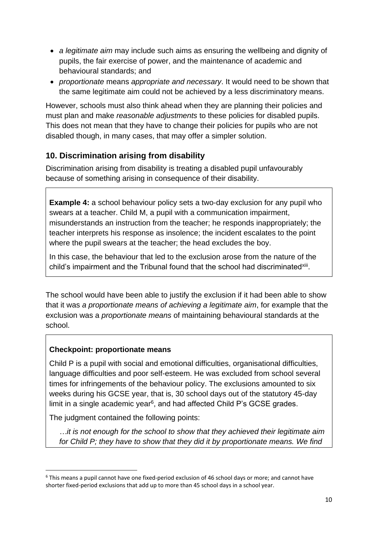- *a legitimate aim* may include such aims as ensuring the wellbeing and dignity of pupils, the fair exercise of power, and the maintenance of academic and behavioural standards; and
- *proportionate* means *appropriate and necessary*. It would need to be shown that the same legitimate aim could not be achieved by a less discriminatory means.

However, schools must also think ahead when they are planning their policies and must plan and make *reasonable adjustments* to these policies for disabled pupils. This does not mean that they have to change their policies for pupils who are not disabled though, in many cases, that may offer a simpler solution.

# **10. Discrimination arising from disability**

Discrimination arising from disability is treating a disabled pupil unfavourably because of something arising in consequence of their disability.

**Example 4:** a school behaviour policy sets a two-day exclusion for any pupil who swears at a teacher. Child M, a pupil with a communication impairment, misunderstands an instruction from the teacher; he responds inappropriately; the teacher interprets his response as insolence; the incident escalates to the point where the pupil swears at the teacher; the head excludes the boy.

In this case, the behaviour that led to the exclusion arose from the nature of the child's impairment and the Tribunal found that the school had discriminated<sup>xiii</sup>.

The school would have been able to justify the exclusion if it had been able to show that it was *a proportionate means of achieving a legitimate aim*, for example that the exclusion was a *proportionate means* of maintaining behavioural standards at the school.

# **Checkpoint: proportionate means**

**.** 

Child P is a pupil with social and emotional difficulties, organisational difficulties, language difficulties and poor self-esteem. He was excluded from school several times for infringements of the behaviour policy. The exclusions amounted to six weeks during his GCSE year, that is, 30 school days out of the statutory 45-day limit in a single academic year $6$ , and had affected Child P's GCSE grades.

The judgment contained the following points:

*…it is not enough for the school to show that they achieved their legitimate aim for Child P; they have to show that they did it by proportionate means. We find* 

<sup>&</sup>lt;sup>6</sup> This means a pupil cannot have one fixed-period exclusion of 46 school days or more; and cannot have shorter fixed-period exclusions that add up to more than 45 school days in a school year.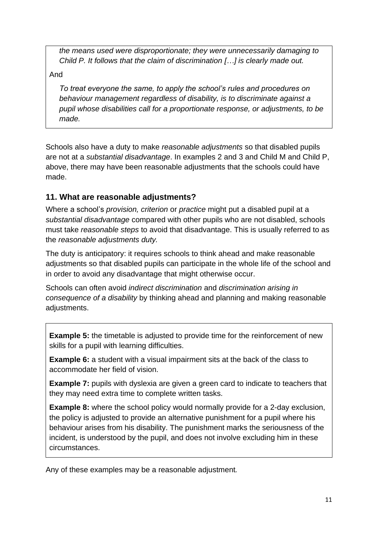*the means used were disproportionate; they were unnecessarily damaging to Child P. It follows that the claim of discrimination […] is clearly made out.* 

#### And

*To treat everyone the same, to apply the school's rules and procedures on behaviour management regardless of disability, is to discriminate against a pupil whose disabilities call for a proportionate response, or adjustments, to be made.*

Schools also have a duty to make *reasonable adjustments* so that disabled pupils are not at a *substantial disadvantage*. In examples 2 and 3 and Child M and Child P, above, there may have been reasonable adjustments that the schools could have made.

## **11. What are reasonable adjustments?**

Where a school's *provision, criterion* or *practice* might put a disabled pupil at a *substantial disadvantage* compared with other pupils who are not disabled, schools must take *reasonable steps* to avoid that disadvantage. This is usually referred to as the *reasonable adjustments duty.*

The duty is anticipatory: it requires schools to think ahead and make reasonable adjustments so that disabled pupils can participate in the whole life of the school and in order to avoid any disadvantage that might otherwise occur.

Schools can often avoid *indirect discrimination* and *discrimination arising in consequence of a disability* by thinking ahead and planning and making reasonable adjustments.

**Example 5:** the timetable is adjusted to provide time for the reinforcement of new skills for a pupil with learning difficulties.

**Example 6:** a student with a visual impairment sits at the back of the class to accommodate her field of vision.

**Example 7:** pupils with dyslexia are given a green card to indicate to teachers that they may need extra time to complete written tasks.

**Example 8:** where the school policy would normally provide for a 2-day exclusion, the policy is adjusted to provide an alternative punishment for a pupil where his behaviour arises from his disability. The punishment marks the seriousness of the incident, is understood by the pupil, and does not involve excluding him in these circumstances.

Any of these examples may be a reasonable adjustment*.*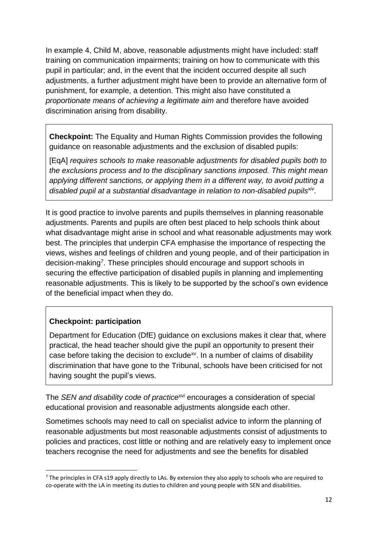In example 4, Child M, above, reasonable adjustments might have included: staff training on communication impairments; training on how to communicate with this pupil in particular; and, in the event that the incident occurred despite all such adjustments, a further adjustment might have been to provide an alternative form of punishment, for example, a detention. This might also have constituted a *proportionate means of achieving a legitimate aim* and therefore have avoided discrimination arising from disability*.*

**Checkpoint:** The Equality and Human Rights Commission provides the following guidance on reasonable adjustments and the exclusion of disabled pupils:

[EqA] *requires schools to make reasonable adjustments for disabled pupils both to the exclusions process and to the disciplinary sanctions imposed. This might mean applying different sanctions, or applying them in a different way, to avoid putting a*  disabled pupil at a substantial disadvantage in relation to non-disabled pupils<sup>xiv</sup>.

It is good practice to involve parents and pupils themselves in planning reasonable adjustments. Parents and pupils are often best placed to help schools think about what disadvantage might arise in school and what reasonable adjustments may work best. The principles that underpin CFA emphasise the importance of respecting the views, wishes and feelings of children and young people, and of their participation in decision-making<sup>7</sup>. These principles should encourage and support schools in securing the effective participation of disabled pupils in planning and implementing reasonable adjustments. This is likely to be supported by the school's own evidence of the beneficial impact when they do.

#### **Checkpoint: participation**

**.** 

Department for Education (DfE) guidance on exclusions makes it clear that, where practical, the head teacher should give the pupil an opportunity to present their case before taking the decision to exclude<sup>xy</sup>. In a number of claims of disability discrimination that have gone to the Tribunal, schools have been criticised for not having sought the pupil's views.

The *SEN and disability code of practicexvi* encourages a consideration of special educational provision and reasonable adjustments alongside each other.

Sometimes schools may need to call on specialist advice to inform the planning of reasonable adjustments but most reasonable adjustments consist of adjustments to policies and practices, cost little or nothing and are relatively easy to implement once teachers recognise the need for adjustments and see the benefits for disabled

 $7$  The principles in CFA s19 apply directly to LAs. By extension they also apply to schools who are required to co-operate with the LA in meeting its duties to children and young people with SEN and disabilities.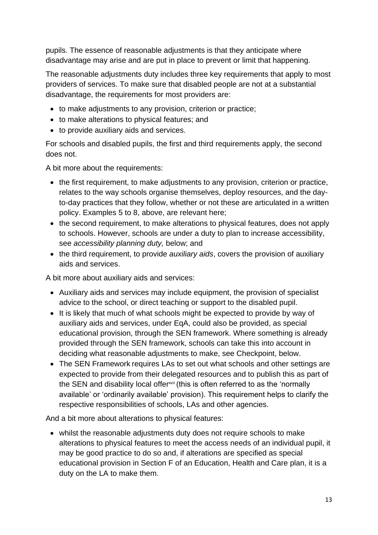pupils. The essence of reasonable adjustments is that they anticipate where disadvantage may arise and are put in place to prevent or limit that happening.

The reasonable adjustments duty includes three key requirements that apply to most providers of services. To make sure that disabled people are not at a substantial disadvantage, the requirements for most providers are:

- to make adjustments to any provision, criterion or practice;
- to make alterations to physical features; and
- to provide auxiliary aids and services.

For schools and disabled pupils, the first and third requirements apply, the second does not.

A bit more about the requirements:

- the first requirement, to make adjustments to any provision, criterion or practice, relates to the way schools organise themselves, deploy resources, and the dayto-day practices that they follow, whether or not these are articulated in a written policy. Examples 5 to 8, above, are relevant here;
- the second requirement, to make alterations to physical features, does not apply to schools. However, schools are under a duty to plan to increase accessibility, see *accessibility planning duty,* below; and
- the third requirement, to provide *auxiliary aids*, covers the provision of auxiliary aids and services.

A bit more about auxiliary aids and services:

- Auxiliary aids and services may include equipment, the provision of specialist advice to the school, or direct teaching or support to the disabled pupil.
- It is likely that much of what schools might be expected to provide by way of auxiliary aids and services, under EqA, could also be provided, as special educational provision, through the SEN framework. Where something is already provided through the SEN framework, schools can take this into account in deciding what reasonable adjustments to make, see Checkpoint, below.
- The SEN Framework requires LAs to set out what schools and other settings are expected to provide from their delegated resources and to publish this as part of the SEN and disability local offer<sup>xvii</sup> (this is often referred to as the 'normally available' or 'ordinarily available' provision). This requirement helps to clarify the respective responsibilities of schools, LAs and other agencies.

And a bit more about alterations to physical features:

• whilst the reasonable adjustments duty does not require schools to make alterations to physical features to meet the access needs of an individual pupil, it may be good practice to do so and, if alterations are specified as special educational provision in Section F of an Education, Health and Care plan, it is a duty on the LA to make them.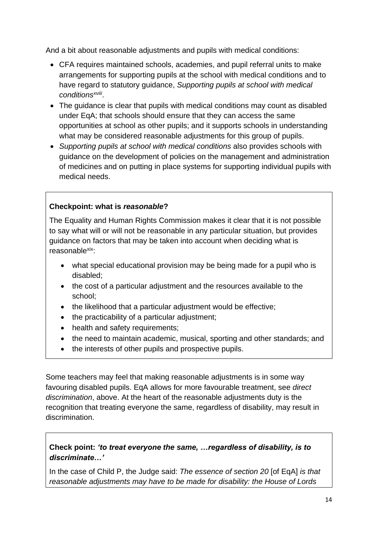And a bit about reasonable adjustments and pupils with medical conditions:

- CFA requires maintained schools, academies, and pupil referral units to make arrangements for supporting pupils at the school with medical conditions and to have regard to statutory guidance, *Supporting pupils at school with medical conditionsxviii* .
- The guidance is clear that pupils with medical conditions may count as disabled under EqA; that schools should ensure that they can access the same opportunities at school as other pupils; and it supports schools in understanding what may be considered reasonable adjustments for this group of pupils.
- *Supporting pupils at school with medical conditions* also provides schools with guidance on the development of policies on the management and administration of medicines and on putting in place systems for supporting individual pupils with medical needs.

#### **Checkpoint: what is** *reasonable***?**

The Equality and Human Rights Commission makes it clear that it is not possible to say what will or will not be reasonable in any particular situation, but provides guidance on factors that may be taken into account when deciding what is reasonable<sup>xix</sup>:

- what special educational provision may be being made for a pupil who is disabled;
- the cost of a particular adjustment and the resources available to the school;
- the likelihood that a particular adjustment would be effective;
- the practicability of a particular adjustment;
- health and safety requirements;
- the need to maintain academic, musical, sporting and other standards; and
- the interests of other pupils and prospective pupils.

Some teachers may feel that making reasonable adjustments is in some way favouring disabled pupils. EqA allows for more favourable treatment, see *direct discrimination*, above. At the heart of the reasonable adjustments duty is the recognition that treating everyone the same, regardless of disability, may result in discrimination.

#### **Check point:** *'to treat everyone the same, …regardless of disability, is to discriminate…'*

In the case of Child P, the Judge said: *The essence of section 20* [of EqA] *is that reasonable adjustments may have to be made for disability: the House of Lords*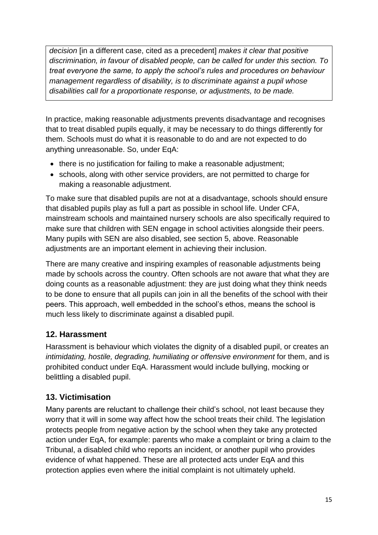*decision* [in a different case, cited as a precedent] *makes it clear that positive discrimination, in favour of disabled people, can be called for under this section. To treat everyone the same, to apply the school's rules and procedures on behaviour management regardless of disability, is to discriminate against a pupil whose disabilities call for a proportionate response, or adjustments, to be made.* 

In practice, making reasonable adjustments prevents disadvantage and recognises that to treat disabled pupils equally, it may be necessary to do things differently for them. Schools must do what it is reasonable to do and are not expected to do anything unreasonable. So, under EqA:

- there is no justification for failing to make a reasonable adjustment;
- schools, along with other service providers, are not permitted to charge for making a reasonable adjustment.

To make sure that disabled pupils are not at a disadvantage, schools should ensure that disabled pupils play as full a part as possible in school life. Under CFA, mainstream schools and maintained nursery schools are also specifically required to make sure that children with SEN engage in school activities alongside their peers. Many pupils with SEN are also disabled, see section 5, above. Reasonable adjustments are an important element in achieving their inclusion.

There are many creative and inspiring examples of reasonable adjustments being made by schools across the country. Often schools are not aware that what they are doing counts as a reasonable adjustment: they are just doing what they think needs to be done to ensure that all pupils can join in all the benefits of the school with their peers. This approach, well embedded in the school's ethos, means the school is much less likely to discriminate against a disabled pupil.

# **12. Harassment**

Harassment is behaviour which violates the dignity of a disabled pupil, or creates an *intimidating, hostile, degrading, humiliating or offensive environment* for them, and is prohibited conduct under EqA. Harassment would include bullying, mocking or belittling a disabled pupil.

# **13. Victimisation**

Many parents are reluctant to challenge their child's school, not least because they worry that it will in some way affect how the school treats their child. The legislation protects people from negative action by the school when they take any protected action under EqA, for example: parents who make a complaint or bring a claim to the Tribunal, a disabled child who reports an incident, or another pupil who provides evidence of what happened. These are all protected acts under EqA and this protection applies even where the initial complaint is not ultimately upheld.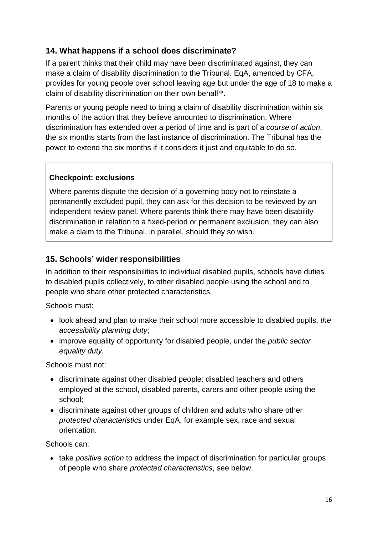# **14. What happens if a school does discriminate?**

If a parent thinks that their child may have been discriminated against, they can make a claim of disability discrimination to the Tribunal. EqA, amended by CFA, provides for young people over school leaving age but under the age of 18 to make a claim of disability discrimination on their own behalf<sup>xx</sup>.

Parents or young people need to bring a claim of disability discrimination within six months of the action that they believe amounted to discrimination. Where discrimination has extended over a period of time and is part of a *course of action*, the six months starts from the last instance of discrimination. The Tribunal has the power to extend the six months if it considers it just and equitable to do so.

## **Checkpoint: exclusions**

Where parents dispute the decision of a governing body not to reinstate a permanently excluded pupil, they can ask for this decision to be reviewed by an independent review panel. Where parents think there may have been disability discrimination in relation to a fixed-period or permanent exclusion, they can also make a claim to the Tribunal, in parallel, should they so wish.

## **15. Schools' wider responsibilities**

In addition to their responsibilities to individual disabled pupils, schools have duties to disabled pupils collectively, to other disabled people using the school and to people who share other protected characteristics.

Schools must:

- look ahead and plan to make their school more accessible to disabled pupils, *the accessibility planning duty*;
- improve equality of opportunity for disabled people, under the *public sector equality duty.*

Schools must not:

- discriminate against other disabled people: disabled teachers and others employed at the school, disabled parents, carers and other people using the school;
- discriminate against other groups of children and adults who share other *protected characteristics* under EqA, for example sex, race and sexual orientation.

Schools can:

• take *positive action* to address the impact of discrimination for particular groups of people who share *protected characteristics*, see below.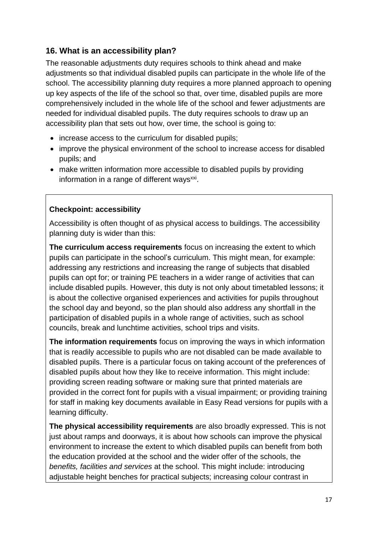## **16. What is an accessibility plan?**

The reasonable adjustments duty requires schools to think ahead and make adjustments so that individual disabled pupils can participate in the whole life of the school. The accessibility planning duty requires a more planned approach to opening up key aspects of the life of the school so that, over time, disabled pupils are more comprehensively included in the whole life of the school and fewer adjustments are needed for individual disabled pupils. The duty requires schools to draw up an accessibility plan that sets out how, over time, the school is going to:

- increase access to the curriculum for disabled pupils;
- improve the physical environment of the school to increase access for disabled pupils; and
- make written information more accessible to disabled pupils by providing information in a range of different ways<sup>xxi</sup>.

#### **Checkpoint: accessibility**

Accessibility is often thought of as physical access to buildings. The accessibility planning duty is wider than this:

**The curriculum access requirements** focus on increasing the extent to which pupils can participate in the school's curriculum. This might mean, for example: addressing any restrictions and increasing the range of subjects that disabled pupils can opt for; or training PE teachers in a wider range of activities that can include disabled pupils. However, this duty is not only about timetabled lessons; it is about the collective organised experiences and activities for pupils throughout the school day and beyond, so the plan should also address any shortfall in the participation of disabled pupils in a whole range of activities, such as school councils, break and lunchtime activities, school trips and visits.

**The information requirements** focus on improving the ways in which information that is readily accessible to pupils who are not disabled can be made available to disabled pupils. There is a particular focus on taking account of the preferences of disabled pupils about how they like to receive information. This might include: providing screen reading software or making sure that printed materials are provided in the correct font for pupils with a visual impairment; or providing training for staff in making key documents available in Easy Read versions for pupils with a learning difficulty.

**The physical accessibility requirements** are also broadly expressed. This is not just about ramps and doorways, it is about how schools can improve the physical environment to increase the extent to which disabled pupils can benefit from both the education provided at the school and the wider offer of the schools, the *benefits, facilities and services* at the school. This might include: introducing adjustable height benches for practical subjects; increasing colour contrast in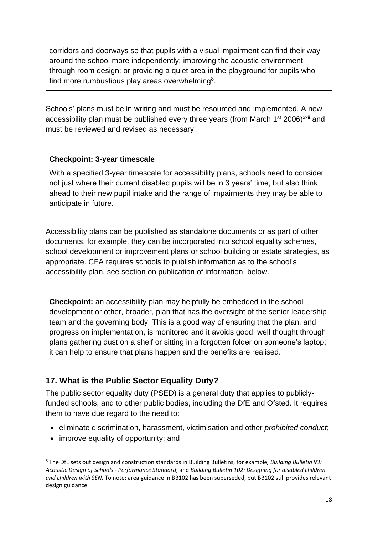corridors and doorways so that pupils with a visual impairment can find their way around the school more independently; improving the acoustic environment through room design; or providing a quiet area in the playground for pupils who find more rumbustious play areas overwhelming $8$ .

Schools' plans must be in writing and must be resourced and implemented. A new accessibility plan must be published every three years (from March 1<sup>st</sup> 2006)<sup>xxii</sup> and must be reviewed and revised as necessary.

#### **Checkpoint: 3-year timescale**

With a specified 3-year timescale for accessibility plans, schools need to consider not just where their current disabled pupils will be in 3 years' time, but also think ahead to their new pupil intake and the range of impairments they may be able to anticipate in future.

Accessibility plans can be published as standalone documents or as part of other documents, for example, they can be incorporated into school equality schemes, school development or improvement plans or school building or estate strategies, as appropriate. CFA requires schools to publish information as to the school's accessibility plan, see section on publication of information, below.

**Checkpoint:** an accessibility plan may helpfully be embedded in the school development or other, broader, plan that has the oversight of the senior leadership team and the governing body. This is a good way of ensuring that the plan, and progress on implementation, is monitored and it avoids good, well thought through plans gathering dust on a shelf or sitting in a forgotten folder on someone's laptop; it can help to ensure that plans happen and the benefits are realised.

# **17. What is the Public Sector Equality Duty?**

The public sector equality duty (PSED) is a general duty that applies to publiclyfunded schools, and to other public bodies, including the DfE and Ofsted. It requires them to have due regard to the need to:

- eliminate discrimination, harassment, victimisation and other *prohibited conduct*;
- improve equality of opportunity; and

**.** 

<sup>8</sup> The DfE sets out design and construction standards in Building Bulletins, for example*, Building Bulletin 93: Acoustic Design of Schools - Performance Standard*; and *Building Bulletin 102: Designing for disabled children and children with SEN.* To note: area guidance in BB102 has been superseded, but BB102 still provides relevant design guidance.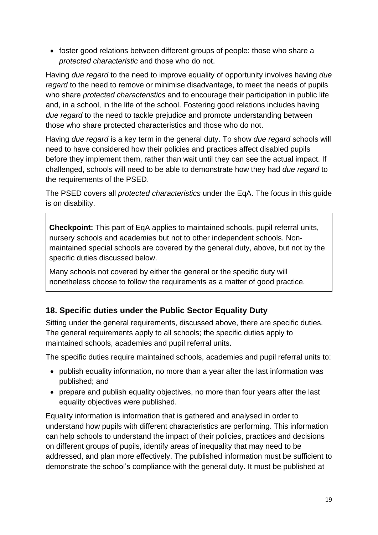• foster good relations between different groups of people: those who share a *protected characteristic* and those who do not.

Having *due regard* to the need to improve equality of opportunity involves having *due regard* to the need to remove or minimise disadvantage, to meet the needs of pupils who share *protected characteristics* and to encourage their participation in public life and, in a school, in the life of the school. Fostering good relations includes having *due regard* to the need to tackle prejudice and promote understanding between those who share protected characteristics and those who do not.

Having *due regard* is a key term in the general duty. To show *due regard* schools will need to have considered how their policies and practices affect disabled pupils before they implement them, rather than wait until they can see the actual impact. If challenged, schools will need to be able to demonstrate how they had *due regard* to the requirements of the PSED.

The PSED covers all *protected characteristics* under the EqA. The focus in this guide is on disability.

**Checkpoint:** This part of EqA applies to maintained schools, pupil referral units, nursery schools and academies but not to other independent schools. Nonmaintained special schools are covered by the general duty, above, but not by the specific duties discussed below.

Many schools not covered by either the general or the specific duty will nonetheless choose to follow the requirements as a matter of good practice.

# **18. Specific duties under the Public Sector Equality Duty**

Sitting under the general requirements, discussed above, there are specific duties. The general requirements apply to all schools; the specific duties apply to maintained schools, academies and pupil referral units.

The specific duties require maintained schools, academies and pupil referral units to:

- publish equality information, no more than a year after the last information was published; and
- prepare and publish equality objectives, no more than four years after the last equality objectives were published.

Equality information is information that is gathered and analysed in order to understand how pupils with different characteristics are performing. This information can help schools to understand the impact of their policies, practices and decisions on different groups of pupils, identify areas of inequality that may need to be addressed, and plan more effectively. The published information must be sufficient to demonstrate the school's compliance with the general duty. It must be published at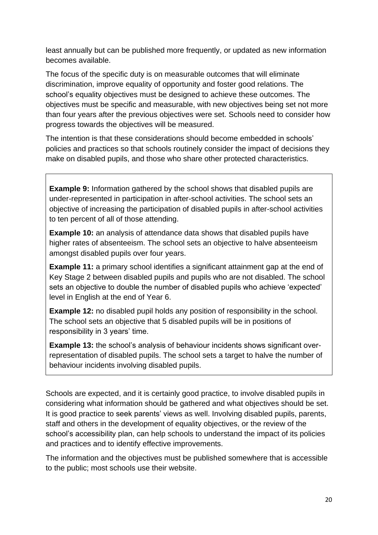least annually but can be published more frequently, or updated as new information becomes available.

The focus of the specific duty is on measurable outcomes that will eliminate discrimination, improve equality of opportunity and foster good relations. The school's equality objectives must be designed to achieve these outcomes. The objectives must be specific and measurable, with new objectives being set not more than four years after the previous objectives were set. Schools need to consider how progress towards the objectives will be measured.

The intention is that these considerations should become embedded in schools' policies and practices so that schools routinely consider the impact of decisions they make on disabled pupils, and those who share other protected characteristics.

**Example 9:** Information gathered by the school shows that disabled pupils are under-represented in participation in after-school activities. The school sets an objective of increasing the participation of disabled pupils in after-school activities to ten percent of all of those attending.

**Example 10:** an analysis of attendance data shows that disabled pupils have higher rates of absenteeism. The school sets an objective to halve absenteeism amongst disabled pupils over four years.

**Example 11:** a primary school identifies a significant attainment gap at the end of Key Stage 2 between disabled pupils and pupils who are not disabled. The school sets an objective to double the number of disabled pupils who achieve 'expected' level in English at the end of Year 6.

**Example 12:** no disabled pupil holds any position of responsibility in the school. The school sets an objective that 5 disabled pupils will be in positions of responsibility in 3 years' time.

**Example 13:** the school's analysis of behaviour incidents shows significant overrepresentation of disabled pupils. The school sets a target to halve the number of behaviour incidents involving disabled pupils.

Schools are expected, and it is certainly good practice, to involve disabled pupils in considering what information should be gathered and what objectives should be set. It is good practice to seek parents' views as well. Involving disabled pupils, parents, staff and others in the development of equality objectives, or the review of the school's accessibility plan, can help schools to understand the impact of its policies and practices and to identify effective improvements.

The information and the objectives must be published somewhere that is accessible to the public; most schools use their website.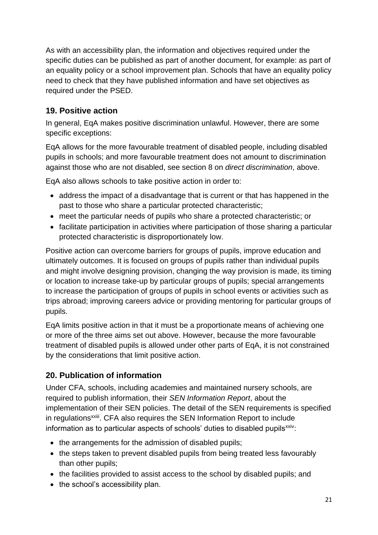As with an accessibility plan, the information and objectives required under the specific duties can be published as part of another document, for example: as part of an equality policy or a school improvement plan. Schools that have an equality policy need to check that they have published information and have set objectives as required under the PSED.

# **19. Positive action**

In general, EqA makes positive discrimination unlawful. However, there are some specific exceptions:

EqA allows for the more favourable treatment of disabled people, including disabled pupils in schools; and more favourable treatment does not amount to discrimination against those who are not disabled, see section 8 on *direct discrimination*, above.

EqA also allows schools to take positive action in order to:

- address the impact of a disadvantage that is current or that has happened in the past to those who share a particular protected characteristic;
- meet the particular needs of pupils who share a protected characteristic; or
- facilitate participation in activities where participation of those sharing a particular protected characteristic is disproportionately low.

Positive action can overcome barriers for groups of pupils, improve education and ultimately outcomes. It is focused on groups of pupils rather than individual pupils and might involve designing provision, changing the way provision is made, its timing or location to increase take-up by particular groups of pupils; special arrangements to increase the participation of groups of pupils in school events or activities such as trips abroad; improving careers advice or providing mentoring for particular groups of pupils.

EqA limits positive action in that it must be a proportionate means of achieving one or more of the three aims set out above. However, because the more favourable treatment of disabled pupils is allowed under other parts of EqA, it is not constrained by the considerations that limit positive action.

# **20. Publication of information**

Under CFA, schools, including academies and maintained nursery schools, are required to publish information, their *SEN Information Report*, about the implementation of their SEN policies. The detail of the SEN requirements is specified in regulations<sup>xxiii</sup>. CFA also requires the SEN Information Report to include information as to particular aspects of schools' duties to disabled pupils $xxiv$ :

- the arrangements for the admission of disabled pupils;
- the steps taken to prevent disabled pupils from being treated less favourably than other pupils;
- the facilities provided to assist access to the school by disabled pupils; and
- the school's accessibility plan.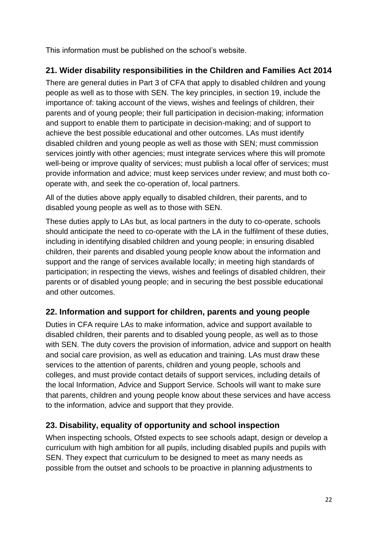This information must be published on the school's website.

# **21. Wider disability responsibilities in the Children and Families Act 2014**

There are general duties in Part 3 of CFA that apply to disabled children and young people as well as to those with SEN. The key principles, in section 19, include the importance of: taking account of the views, wishes and feelings of children, their parents and of young people; their full participation in decision-making; information and support to enable them to participate in decision-making; and of support to achieve the best possible educational and other outcomes. LAs must identify disabled children and young people as well as those with SEN; must commission services jointly with other agencies; must integrate services where this will promote well-being or improve quality of services; must publish a local offer of services; must provide information and advice; must keep services under review; and must both cooperate with, and seek the co-operation of, local partners.

All of the duties above apply equally to disabled children, their parents, and to disabled young people as well as to those with SEN.

These duties apply to LAs but, as local partners in the duty to co-operate, schools should anticipate the need to co-operate with the LA in the fulfilment of these duties, including in identifying disabled children and young people; in ensuring disabled children, their parents and disabled young people know about the information and support and the range of services available locally; in meeting high standards of participation; in respecting the views, wishes and feelings of disabled children, their parents or of disabled young people; and in securing the best possible educational and other outcomes.

# **22. Information and support for children, parents and young people**

Duties in CFA require LAs to make information, advice and support available to disabled children, their parents and to disabled young people, as well as to those with SEN. The duty covers the provision of information, advice and support on health and social care provision, as well as education and training. LAs must draw these services to the attention of parents, children and young people, schools and colleges, and must provide contact details of support services, including details of the local Information, Advice and Support Service. Schools will want to make sure that parents, children and young people know about these services and have access to the information, advice and support that they provide.

# **23. Disability, equality of opportunity and school inspection**

When inspecting schools, Ofsted expects to see schools adapt, design or develop a curriculum with high ambition for all pupils, including disabled pupils and pupils with SEN. They expect that curriculum to be designed to meet as many needs as possible from the outset and schools to be proactive in planning adjustments to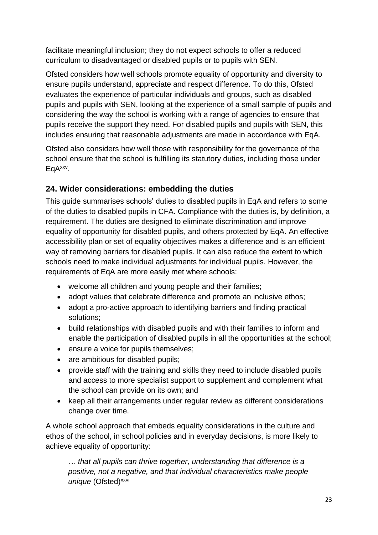facilitate meaningful inclusion; they do not expect schools to offer a reduced curriculum to disadvantaged or disabled pupils or to pupils with SEN.

Ofsted considers how well schools promote equality of opportunity and diversity to ensure pupils understand, appreciate and respect difference. To do this, Ofsted evaluates the experience of particular individuals and groups, such as disabled pupils and pupils with SEN, looking at the experience of a small sample of pupils and considering the way the school is working with a range of agencies to ensure that pupils receive the support they need. For disabled pupils and pupils with SEN, this includes ensuring that reasonable adjustments are made in accordance with EqA.

Ofsted also considers how well those with responsibility for the governance of the school ensure that the school is fulfilling its statutory duties, including those under EqAxxv .

# **24. Wider considerations: embedding the duties**

This guide summarises schools' duties to disabled pupils in EqA and refers to some of the duties to disabled pupils in CFA. Compliance with the duties is, by definition, a requirement. The duties are designed to eliminate discrimination and improve equality of opportunity for disabled pupils, and others protected by EqA. An effective accessibility plan or set of equality objectives makes a difference and is an efficient way of removing barriers for disabled pupils. It can also reduce the extent to which schools need to make individual adjustments for individual pupils. However, the requirements of EqA are more easily met where schools:

- welcome all children and young people and their families;
- adopt values that celebrate difference and promote an inclusive ethos;
- adopt a pro-active approach to identifying barriers and finding practical solutions;
- build relationships with disabled pupils and with their families to inform and enable the participation of disabled pupils in all the opportunities at the school;
- ensure a voice for pupils themselves;
- are ambitious for disabled pupils;
- provide staff with the training and skills they need to include disabled pupils and access to more specialist support to supplement and complement what the school can provide on its own; and
- keep all their arrangements under regular review as different considerations change over time.

A whole school approach that embeds equality considerations in the culture and ethos of the school, in school policies and in everyday decisions, is more likely to achieve equality of opportunity:

*… that all pupils can thrive together, understanding that difference is a positive, not a negative, and that individual characteristics make people unique* (Ofsted)<sup>xxvi</sup>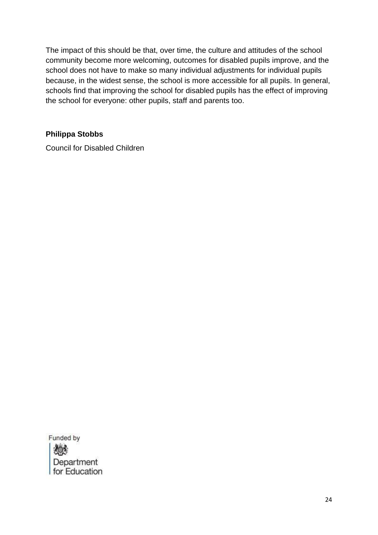The impact of this should be that, over time, the culture and attitudes of the school community become more welcoming, outcomes for disabled pupils improve, and the school does not have to make so many individual adjustments for individual pupils because, in the widest sense, the school is more accessible for all pupils. In general, schools find that improving the school for disabled pupils has the effect of improving the school for everyone: other pupils, staff and parents too.

#### **Philippa Stobbs**

Council for Disabled Children

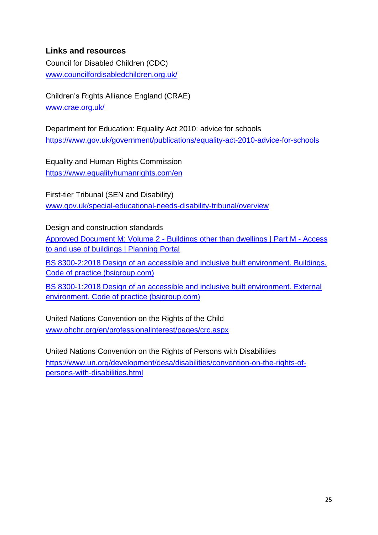# **Links and resources**

Council for Disabled Children (CDC) [www.councilfordisabledchildren.org.uk/](http://www.councilfordisabledchildren.org.uk/)

Children's Rights Alliance England (CRAE) [www.crae.org.uk/](http://www.crae.org.uk/)

Department for Education: Equality Act 2010: advice for schools <https://www.gov.uk/government/publications/equality-act-2010-advice-for-schools>

Equality and Human Rights Commission <https://www.equalityhumanrights.com/en>

First-tier Tribunal (SEN and Disability) [www.gov.uk/special-educational-needs-disability-tribunal/overview](http://www.gov.uk/special-educational-needs-disability-tribunal/overview)

Design and construction standards

[Approved Document M: Volume 2 -](https://www.planningportal.co.uk/info/200135/approved_documents/80/part_m_-_access_to_and_use_of_buildings/2) Buildings other than dwellings | Part M - Access [to and use of buildings | Planning Portal](https://www.planningportal.co.uk/info/200135/approved_documents/80/part_m_-_access_to_and_use_of_buildings/2)

[BS 8300-2:2018 Design of an accessible and inclusive built environment. Buildings.](https://shop.bsigroup.com/ProductDetail?pid=000000000030335835)  [Code of practice \(bsigroup.com\)](https://shop.bsigroup.com/ProductDetail?pid=000000000030335835)

[BS 8300-1:2018 Design of an accessible and inclusive built environment. External](https://shop.bsigroup.com/ProductDetail?pid=000000000030335801)  [environment. Code of practice \(bsigroup.com\)](https://shop.bsigroup.com/ProductDetail?pid=000000000030335801)

United Nations Convention on the Rights of the Child [www.ohchr.org/en/professionalinterest/pages/crc.aspx](http://www.ohchr.org/en/professionalinterest/pages/crc.aspx) 

United Nations Convention on the Rights of Persons with Disabilities [https://www.un.org/development/desa/disabilities/convention-on-the-rights-of](https://www.un.org/development/desa/disabilities/convention-on-the-rights-of-persons-with-disabilities.html)[persons-with-disabilities.html](https://www.un.org/development/desa/disabilities/convention-on-the-rights-of-persons-with-disabilities.html)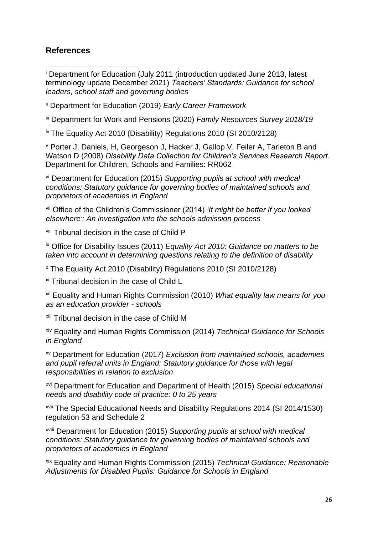### **References**

<sup>i</sup> Department for Education (July 2011 (introduction updated June 2013, latest terminology update December 2021) *Teachers' Standards: Guidance for school leaders, school staff and governing bodies* **.** 

ii Department for Education (2019) *Early Career Framework*

iii Department for Work and Pensions (2020) *Family Resources Survey 2018/19*

iv The Equality Act 2010 (Disability) Regulations 2010 (SI 2010/2128)

<sup>v</sup> Porter J, Daniels, H, Georgeson J, Hacker J, Gallop V, Feiler A, Tarleton B and Watson D (2008) *Disability Data Collection for Children's Services Research Report.* Department for Children, Schools and Families: RR062

vi Department for Education (2015) *Supporting pupils at school with medical conditions: Statutory guidance for governing bodies of maintained schools and proprietors of academies in England*

vii Office of the Children's Commissioner (2014) *'It might be better if you looked elsewhere': An investigation into the schools admission process*

viii Tribunal decision in the case of Child P

ix Office for Disability Issues (2011) *Equality Act 2010: Guidance on matters to be taken into account in determining questions relating to the definition of disability*

<sup>x</sup> The Equality Act 2010 (Disability) Regulations 2010 (SI 2010/2128)

xi Tribunal decision in the case of Child L

xii Equality and Human Rights Commission (2010) *What equality law means for you as an education provider - schools*

**xiii Tribunal decision in the case of Child M** 

xiv Equality and Human Rights Commission (2014) *Technical Guidance for Schools in England*

xv Department for Education (2017) *Exclusion from maintained schools, academies and pupil referral units in England: Statutory guidance for those with legal responsibilities in relation to exclusion*

xvi Department for Education and Department of Health (2015) *Special educational needs and disability code of practice: 0 to 25 years*

xvii The Special Educational Needs and Disability Regulations 2014 (SI 2014/1530) regulation 53 and Schedule 2

xviii Department for Education (2015) *Supporting pupils at school with medical conditions: Statutory guidance for governing bodies of maintained schools and proprietors of academies in England*

xix Equality and Human Rights Commission (2015) *Technical Guidance: Reasonable Adjustments for Disabled Pupils: Guidance for Schools in England*